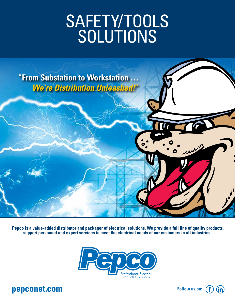# SAFETY/TOOLS SOLUTIONS



 **Pepco is a value-added distributor and packager of electrical solutions. We provide a full line of quality products, support personnel and expert services to meet the electrical needs of our customers in all industries.**



### **pepconet.com Follow us on: Follow us on:**

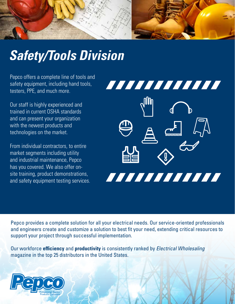

## *Safety/Tools Division*

Pepco offers a complete line of tools and safety equipment, including hand tools, testers, PPE, and much more.

Our staff is highly experienced and trained in current OSHA standards and can present your organization with the newest products and technologies on the market.

From individual contractors, to entire market segments including utility and industrial maintenance, Pepco has you covered. We also offer onsite training, product demonstrations, and safety equipment testing services.



Pepco provides a complete solution for all your electrical needs. Our service-oriented professionals and engineers create and customize a solution to best fit your need, extending critical resources to support your project through successful implementation.

Our workforce **efficiency** and **productivity** is consistently ranked by *Electrical Wholesaling* magazine in the top 25 distributors in the United States.

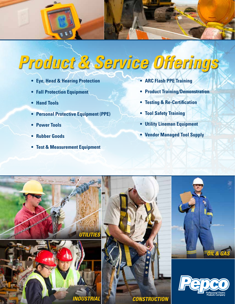

# *Product & Service Offerings*

- **• Eye, Head & Hearing Protection**
- **Fall Protection Equipment**
- **• Hand Tools**
- **• Personal Protective Equipment (PPE)**
- **• Power Tools**
- **• Rubber Goods**
- **• Test & Measurement Equipment**
- **• ARC Flash PPE Training**
- **• Product Training/Demonstration**
- **• Testing & Re-Certification**
- **• Tool Safety Training**
- **• Utility Lineman Equipment**
- **• Vendor Managed Tool Supply**